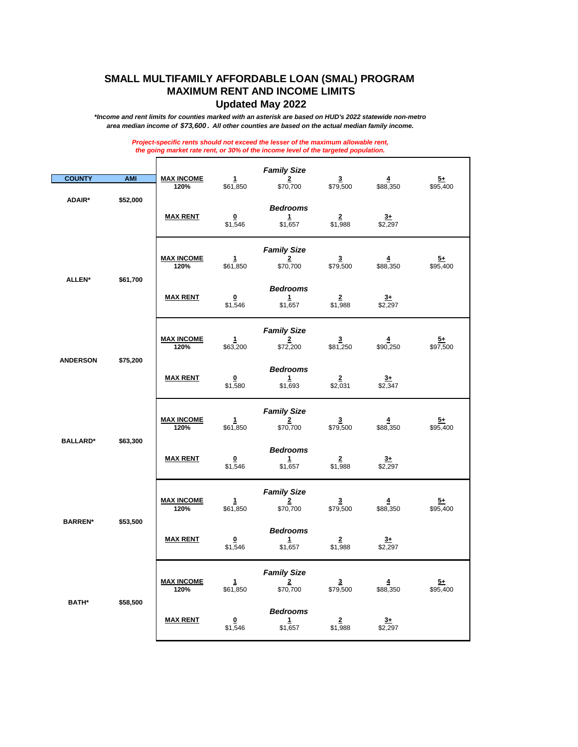## **SMALL MULTIFAMILY AFFORDABLE LOAN (SMAL) PROGRAM MAXIMUM RENT AND INCOME LIMITS Updated May 2022**

*\*Income and rent limits for counties marked with an asterisk are based on HUD's 2022 statewide non-metro area median income of \$73,600 . All other counties are based on the actual median family income.*

> *Project-specific rents should not exceed the lesser of the maximum allowable rent, the going market rate rent, or 30% of the income level of the targeted population.*

| <b>COUNTY</b>               | <b>AMI</b> | <b>MAX INCOME</b><br>120% | 1<br>\$61,850                      | <b>Family Size</b><br>$\frac{2}{\$70,700}$       | $\overline{3}$<br>\$79,500          | $\overline{4}$<br>\$88,350 | <u>5+</u><br>\$95,400       |
|-----------------------------|------------|---------------------------|------------------------------------|--------------------------------------------------|-------------------------------------|----------------------------|-----------------------------|
| ADAIR*                      | \$52,000   | <b>MAX RENT</b>           | $\Omega$<br>\$1,546                | <b>Bedrooms</b><br>1<br>\$1,657                  | $2^{\circ}$<br>\$1,988              | $3+$<br>\$2,297            |                             |
|                             | \$61,700   | <b>MAX INCOME</b><br>120% | 1<br>\$61,850                      | <b>Family Size</b><br>$\frac{2}{2}$<br>\$70,700  | $\overline{3}$<br>\$79,500          | $\overline{4}$<br>\$88,350 | $\overline{5+}$<br>\$95,400 |
| <b>ALLEN*</b>               |            | <u>MAX RENT</u>           | $\Omega$<br>\$1,546                | <b>Bedrooms</b><br>$\mathbf{1}$<br>\$1,657       | $\overline{2}$<br>\$1,988           | $3+$<br>\$2,297            |                             |
|                             |            | <b>MAX INCOME</b><br>120% | $\mathbf{1}$<br>\$63,200           | <b>Family Size</b><br>$\frac{1}{2}$<br>\$72,200  | $\mathbf{3}$<br>\$81,250            | $\overline{4}$<br>\$90,250 | <u>5+</u><br>\$97,500       |
| <b>ANDERSON</b><br>\$75,200 |            | <b>MAX RENT</b>           | $\overline{\mathbf{0}}$<br>\$1,580 | <b>Bedrooms</b><br>$1 -$<br>\$1,693              | $\overline{2}$<br>\$2,031           | $\frac{3+}{2}$<br>\$2,347  |                             |
|                             |            | <b>MAX INCOME</b><br>120% | $\mathbf{1}$<br>\$61,850           | <b>Family Size</b><br>$\frac{2}{\$70,700}$       | $\frac{3}{179,500}$                 | $\overline{4}$<br>\$88,350 | $\frac{5+}{95,400}$         |
| <b>BALLARD*</b>             | \$63,300   | <b>MAX RENT</b>           | $\overline{\mathbf{0}}$<br>\$1,546 | <b>Bedrooms</b><br>$\frac{1}{2}$<br>\$1,657      | $\frac{2}{1,988}$                   | $3+$<br>\$2,297            |                             |
|                             |            | <u>MAX INCOME</u><br>120% | 1<br>\$61,850                      | <b>Family Size</b><br>$\overline{2}$<br>\$70,700 | $\overline{3}$<br>\$79,500          | $\overline{4}$<br>\$88,350 | <u>5+</u><br>\$95,400       |
| <b>BARREN*</b>              | \$53,500   | <u>MAX RENT</u>           | $\overline{\mathbf{0}}$<br>\$1,546 | <b>Bedrooms</b><br>$1 -$<br>\$1,657              | $\overline{2}$<br>\$1,988           | $3+$<br>\$2,297            |                             |
|                             |            | <b>MAX INCOME</b><br>120% | 1<br>\$61,850                      | <b>Family Size</b><br>$\frac{2}{2}$<br>\$70,700  | $\overline{\mathbf{3}}$<br>\$79,500 | $\overline{4}$<br>\$88,350 | $\overline{5+}$<br>\$95,400 |
| <b>BATH*</b>                | \$58,500   | <b>MAX RENT</b>           | $\overline{\mathbf{0}}$<br>\$1,546 | <b>Bedrooms</b><br>1<br>\$1,657                  | $\frac{2}{1,988}$                   | $\frac{3+}{2,297}$         |                             |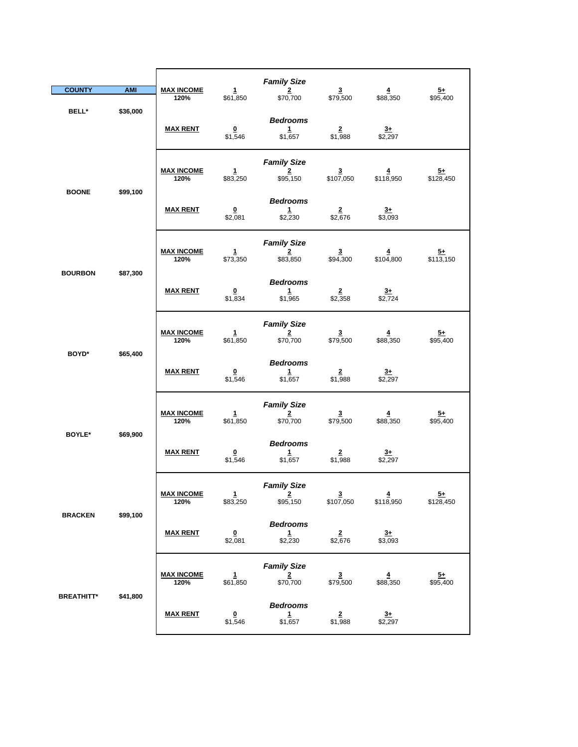|                   |                 |                                    |                                    | <b>Family Size</b>                               |                                      |                             |                             |
|-------------------|-----------------|------------------------------------|------------------------------------|--------------------------------------------------|--------------------------------------|-----------------------------|-----------------------------|
| <b>COUNTY</b>     | <b>AMI</b>      | <b>MAX INCOME</b><br>120%          | $\mathbf{1}$<br>\$61,850           | $\overline{2}$<br>\$70,700                       | $\overline{\mathbf{3}}$<br>\$79,500  | $\overline{4}$<br>\$88,350  | $\frac{5+}{2}$<br>\$95,400  |
| BELL*             | \$36,000        | <b>MAX RENT</b>                    | $\overline{\mathbf{0}}$<br>\$1,546 | <b>Bedrooms</b><br>$\mathbf{1}$<br>\$1,657       | $\overline{2}$<br>\$1,988            | $3+$<br>\$2,297             |                             |
|                   |                 | <b>MAX INCOME</b><br>120%          | $\mathbf{1}$<br>\$83,250           | <b>Family Size</b><br>$\overline{2}$<br>\$95,150 | $\overline{\mathbf{3}}$<br>\$107,050 | $\overline{4}$<br>\$118,950 | $\frac{5+}{128,450}$        |
| <b>BOONE</b>      | \$99,100        | <b>MAX RENT</b>                    | $\overline{\mathbf{0}}$<br>\$2,081 | <b>Bedrooms</b><br>$\mathbf{1}$<br>\$2,230       | $\frac{2}{2,676}$                    | $\frac{3+}{\$3,093}$        |                             |
| <b>BOURBON</b>    | \$87,300        | <b>MAX INCOME</b><br>120%          | 1<br>\$73,350                      | <b>Family Size</b><br>$\overline{2}$<br>\$83,850 | $\overline{\mathbf{3}}$<br>\$94,300  | $\overline{4}$<br>\$104,800 | $\frac{5+}{13,150}$         |
|                   | <b>MAX RENT</b> | $\overline{\mathbf{0}}$<br>\$1,834 | <b>Bedrooms</b><br>1<br>\$1,965    | $\overline{2}$<br>\$2,358                        | $\frac{3+}{2,724}$                   |                             |                             |
|                   |                 | <b>MAX INCOME</b><br>120%          | 1<br>\$61,850                      | <b>Family Size</b><br>$\frac{2}{\$70,700}$       | $\overline{3}$<br>\$79,500           | $\overline{4}$<br>\$88,350  | <u>5+</u><br>\$95,400       |
| BOYD*             | \$65,400        | <b>MAX RENT</b>                    | $\overline{\mathbf{0}}$<br>\$1,546 | <b>Bedrooms</b><br>$\mathbf{1}$<br>\$1,657       | $\overline{2}$<br>\$1,988            | $3+$<br>\$2,297             |                             |
| <b>BOYLE*</b>     | \$69,900        | <b>MAX INCOME</b><br>120%          | $\mathbf{1}$<br>\$61,850           | <b>Family Size</b><br>2<br>\$70,700              | $\frac{3}{1}$ \$79,500               | $\overline{4}$<br>\$88,350  | $\overline{5+}$<br>\$95,400 |
|                   |                 | <b>MAX RENT</b>                    | $\overline{\mathbf{0}}$<br>\$1,546 | <b>Bedrooms</b><br>$\mathbf{1}$<br>\$1,657       | $\overline{2}$<br>\$1,988            | $\frac{3+}{2,297}$          |                             |
|                   |                 | <b>MAX INCOME</b><br>120%          | $\mathbf{1}$<br>\$83,250           | <b>Family Size</b><br>$\overline{2}$<br>\$95,150 | $\frac{3}{107,050}$                  | $\frac{4}{18,950}$          | $\frac{5+}{128,450}$        |
| <b>BRACKEN</b>    | \$99,100        | <b>MAX RENT</b>                    | $\pmb{0}$<br>\$2,081               | <b>Bedrooms</b><br>1<br>\$2,230                  | $\overline{2}$<br>\$2,676            | $\frac{3+}{\$3,093}$        |                             |
|                   |                 | <b>MAX INCOME</b><br>120%          | 1<br>\$61,850                      | <b>Family Size</b><br>$\frac{2}{\$70,700}$       | $\frac{3}{1}$ \$79,500               | 4<br>\$88,350               | $\frac{5+}{95,400}$         |
| <b>BREATHITT*</b> | \$41,800        | <b>MAX RENT</b>                    | $\overline{\mathbf{0}}$<br>\$1,546 | <b>Bedrooms</b><br>$\frac{1}{1,657}$             | $\frac{2}{1,988}$                    | $\frac{3+}{2,297}$          |                             |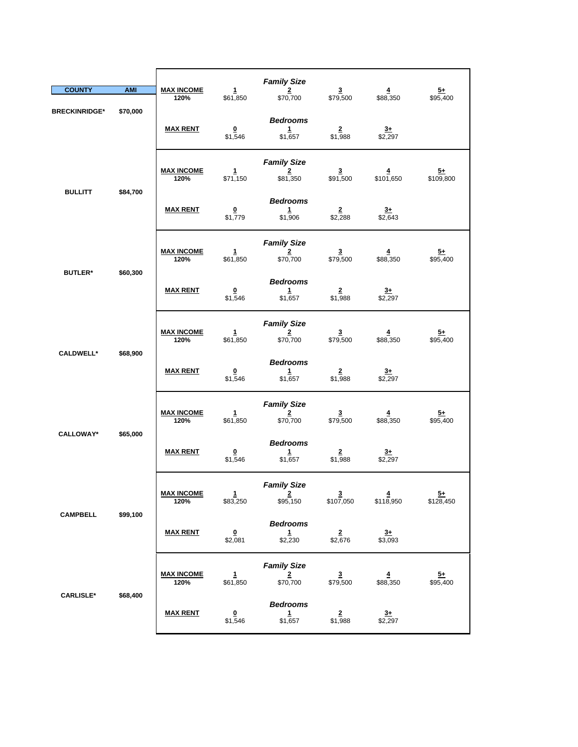| <b>COUNTY</b>              | <b>AMI</b> | <b>MAX INCOME</b>         | 1                                   | <b>Family Size</b><br>$\overline{2}$                      | $\overline{\mathbf{3}}$               | $\overline{4}$                      | $5+$                         |
|----------------------------|------------|---------------------------|-------------------------------------|-----------------------------------------------------------|---------------------------------------|-------------------------------------|------------------------------|
| <b>BRECKINRIDGE*</b>       | \$70,000   | 120%<br><b>MAX RENT</b>   | \$61,850<br>$\pmb{0}$<br>\$1,546    | \$70,700<br><b>Bedrooms</b><br>$\mathbf{1}$<br>\$1,657    | \$79,500<br>$\overline{2}$<br>\$1,988 | \$88,350<br>$3+$<br>\$2,297         | \$95,400                     |
|                            |            | <b>MAX INCOME</b><br>120% | 1<br>\$71,150                       | <b>Family Size</b><br>2<br>\$81,350                       | 3<br>\$91,500                         | 4<br>\$101,650                      | $\frac{5+}{109,800}$         |
| <b>BULLITT</b>             | \$84,700   | <b>MAX RENT</b>           | $\underline{\mathbf{0}}$<br>\$1,779 | <b>Bedrooms</b><br>1<br>\$1,906                           | $\frac{2}{2,288}$                     | $\frac{3+}{2,643}$                  |                              |
|                            |            | <b>MAX INCOME</b><br>120% | 1<br>\$61,850                       | <b>Family Size</b><br>$\frac{2}{100}$                     | 3<br>\$79,500                         | 4<br>\$88,350                       | <u>5+</u><br>\$95,400        |
| <b>BUTLER*</b><br>\$60,300 |            | <b>MAX RENT</b>           | 0<br>\$1,546                        | <b>Bedrooms</b><br>1<br>\$1,657                           | $\overline{2}$<br>\$1,988             | $3+$<br>\$2,297                     |                              |
|                            | \$68,900   | <b>MAX INCOME</b><br>120% | $\mathbf{1}$<br>\$61,850            | <b>Family Size</b><br>$\overline{\mathbf{2}}$<br>\$70,700 | $\overline{\mathbf{3}}$<br>\$79,500   | $\overline{\mathbf{4}}$<br>\$88,350 | $\frac{5+}{95,400}$          |
| <b>CALDWELL*</b>           |            | <b>MAX RENT</b>           | $\overline{\mathbf{0}}$<br>\$1,546  | <b>Bedrooms</b><br>1<br>\$1,657                           | $\overline{\mathbf{2}}$<br>\$1,988    | $\frac{3+}{2}$<br>\$2,297           |                              |
|                            |            | <b>MAX INCOME</b><br>120% | $\mathbf{1}$<br>\$61,850            | <b>Family Size</b><br>$\overline{2}$<br>\$70,700          | $\overline{\mathbf{3}}$<br>\$79,500   | $\overline{4}$<br>\$88,350          | $\frac{5+}{2}$<br>\$95,400   |
| <b>CALLOWAY*</b>           | \$65,000   | <b>MAX RENT</b>           | $\overline{\mathbf{0}}$<br>\$1,546  | <b>Bedrooms</b><br>$\mathbf{1}$<br>\$1,657                | $\overline{\mathbf{2}}$<br>\$1,988    | $\overline{3+}$<br>\$2,297          |                              |
|                            |            | <u>MAX INCOME</u><br>120% | 1<br>\$83,250                       | <b>Family Size</b><br>$2 \rightarrow$<br>\$95,150         | <u>3</u><br>\$107,050                 | 4<br>\$118,950                      | $\overline{5+}$<br>\$128,450 |
| <b>CAMPBELL</b>            | \$99,100   | <b>MAX RENT</b>           | $\overline{\mathbf{0}}$<br>\$2,081  | <b>Bedrooms</b><br>$\mathbf{1}$<br>\$2,230                | $\frac{2}{2,676}$                     | $3+$<br>\$3,093                     |                              |
| <b>CARLISLE*</b>           |            | <b>MAX INCOME</b><br>120% | $\mathbf{1}$<br>\$61,850            | <b>Family Size</b><br>$\overline{\mathbf{2}}$<br>\$70,700 | $\overline{\mathbf{3}}$<br>\$79,500   | $\overline{4}$<br>\$88,350          | $5+$<br>\$95,400             |
|                            | \$68,400   | <b>MAX RENT</b>           | $\overline{\mathbf{0}}$<br>\$1,546  | <b>Bedrooms</b><br>$\mathbf{1}$<br>\$1,657                | $\overline{2}$<br>\$1,988             | $rac{3+}{2}$<br>\$2,297             |                              |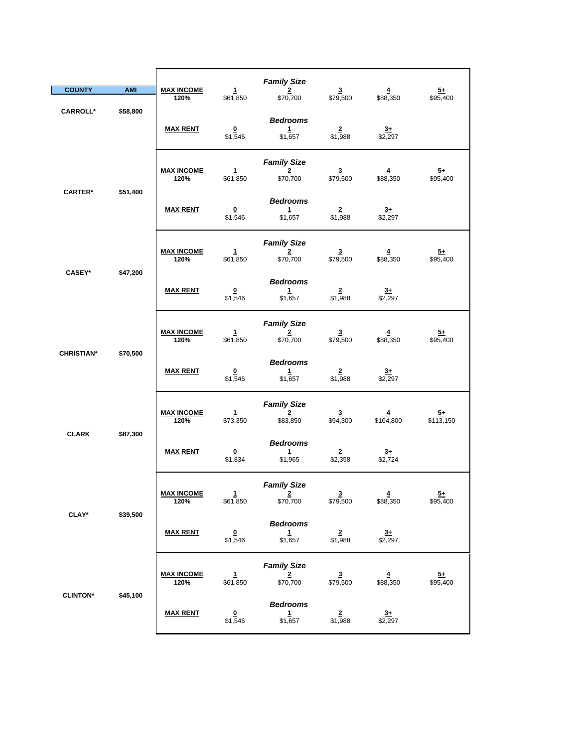|                   |                    |                           |                                    | <b>Family Size</b>                                        |                                     |                             |                             |
|-------------------|--------------------|---------------------------|------------------------------------|-----------------------------------------------------------|-------------------------------------|-----------------------------|-----------------------------|
| <b>COUNTY</b>     | <b>AMI</b>         | <b>MAX INCOME</b><br>120% | $\mathbf{1}$<br>\$61,850           | $\overline{2}$<br>\$70,700                                | $\overline{\mathbf{3}}$<br>\$79,500 | $\overline{4}$<br>\$88,350  | $\frac{5+}{2}$<br>\$95,400  |
| <b>CARROLL*</b>   | \$58,800           | <b>MAX RENT</b>           | $\overline{\mathbf{0}}$<br>\$1,546 | <b>Bedrooms</b><br>1<br>\$1,657                           | $\overline{2}$<br>\$1,988           | $3+$<br>\$2,297             |                             |
|                   |                    | <b>MAX INCOME</b><br>120% | 1<br>\$61,850                      | <b>Family Size</b><br>$\overline{2}$<br>\$70,700          | $\overline{3}$<br>\$79,500          | 4<br>\$88,350               | <u>5+</u><br>\$95,400       |
| <b>CARTER*</b>    | \$51,400           | <b>MAX RENT</b>           | $\overline{\mathbf{0}}$<br>\$1,546 | <b>Bedrooms</b><br>1<br>\$1,657                           | $\frac{2}{1,988}$                   | $\frac{3+}{2,297}$          |                             |
|                   |                    | <b>MAX INCOME</b><br>120% | $\mathbf{1}$<br>\$61,850           | <b>Family Size</b><br>$\overline{\mathbf{2}}$<br>\$70,700 | $\overline{\mathbf{3}}$<br>\$79,500 | $\overline{4}$<br>\$88,350  | $5+$<br>\$95,400            |
|                   | CASEY*<br>\$47,200 | <b>MAX RENT</b>           | $\overline{\mathbf{0}}$<br>\$1,546 | <b>Bedrooms</b><br>$\mathbf{1}$<br>\$1,657                | $\overline{2}$<br>\$1,988           | $\overline{3+}$<br>\$2,297  |                             |
|                   |                    | <b>MAX INCOME</b><br>120% | $\mathbf{1}$<br>\$61,850           | <b>Family Size</b><br>$\overline{2}$<br>\$70,700          | $\frac{3}{1}$ \$79,500              | $\frac{4}{1}$ \$88,350      | $\frac{5+}{95,400}$         |
| <b>CHRISTIAN*</b> | \$70,500           | <b>MAX RENT</b>           | $\overline{\mathbf{0}}$<br>\$1,546 | <b>Bedrooms</b><br>$\mathbf{1}$<br>\$1,657                | $\overline{2}$<br>\$1,988           | $rac{3+}{2}$<br>\$2,297     |                             |
| <b>CLARK</b>      | \$87,300           | <b>MAX INCOME</b><br>120% | $\mathbf{1}$<br>\$73,350           | <b>Family Size</b><br>$\overline{2}$<br>\$83,850          | $\overline{\mathbf{3}}$<br>\$94,300 | $\overline{4}$<br>\$104,800 | $\frac{5+}{13,150}$         |
|                   |                    | <b>MAX RENT</b>           | $\overline{\mathbf{0}}$<br>\$1,834 | <b>Bedrooms</b><br>1<br>\$1,965                           | $\overline{\mathbf{2}}$<br>\$2,358  | $3+$<br>\$2,724             |                             |
|                   |                    | <b>MAX INCOME</b><br>120% | $\mathbf{1}$<br>\$61,850           | <b>Family Size</b><br>$\overline{2}$<br>\$70,700          | $\overline{3}$<br>\$79,500          | $\overline{4}$<br>\$88,350  | $\overline{5+}$<br>\$95,400 |
| <b>CLAY*</b>      | \$39,500           | <b>MAX RENT</b>           | $\overline{\mathbf{0}}$<br>\$1,546 | <b>Bedrooms</b><br>$\mathbf{1}$<br>\$1,657                | $\frac{2}{1,988}$                   | $\frac{3+}{2,297}$          |                             |
| <b>CLINTON*</b>   |                    | <b>MAX INCOME</b><br>120% | $\mathbf{1}$<br>\$61,850           | <b>Family Size</b><br>$\overline{\mathbf{2}}$<br>\$70,700 | $\frac{3}{1}$ \$79,500              | $\overline{4}$<br>\$88,350  | $\frac{5+}{95,400}$         |
|                   | \$45,100           | <b>MAX RENT</b>           | $\overline{\mathbf{0}}$<br>\$1,546 | <b>Bedrooms</b><br>$\mathbf{1}$<br>\$1,657                | $\frac{2}{1,988}$                   | $rac{3+}{2}$<br>\$2,297     |                             |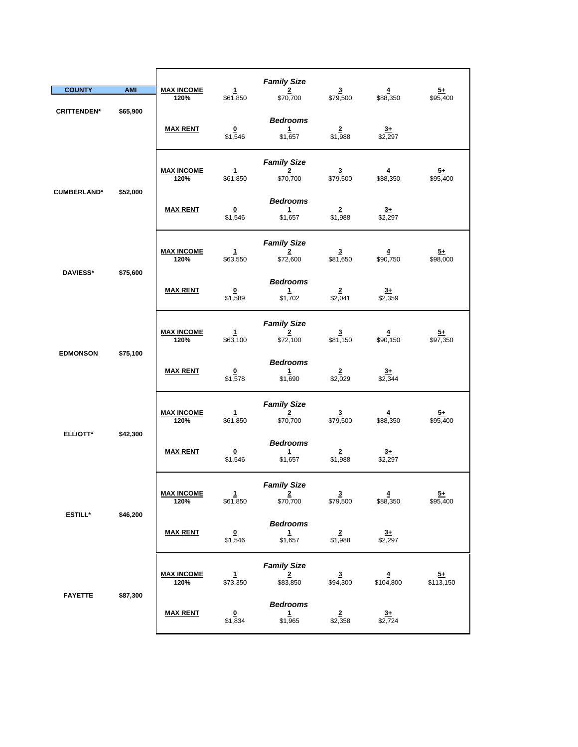| <b>COUNTY</b>      | <b>AMI</b>      | <b>MAX INCOME</b>         | 1                                  | <b>Family Size</b><br>$\overline{2}$                      | $\overline{\mathbf{3}}$             | $\overline{4}$          | $\frac{5+}{2}$              |
|--------------------|-----------------|---------------------------|------------------------------------|-----------------------------------------------------------|-------------------------------------|-------------------------|-----------------------------|
| <b>CRITTENDEN*</b> | \$65,900        | 120%                      | \$61,850                           | \$70,700                                                  | \$79,500                            | \$88,350                | \$95,400                    |
|                    |                 |                           | $\overline{\mathbf{0}}$<br>\$1,546 | <b>Bedrooms</b><br>$\mathbf{1}$<br>\$1,657                | $\overline{2}$<br>\$1,988           | $3+$<br>\$2,297         |                             |
| <b>CUMBERLAND*</b> | \$52,000        | <b>MAX INCOME</b><br>120% | 1<br>\$61,850                      | <b>Family Size</b><br>2<br>\$70,700                       | 3<br>\$79,500                       | 4<br>\$88,350           | $\frac{5+}{2}$<br>\$95,400  |
|                    |                 | <b>MAX RENT</b>           | $\overline{\mathbf{0}}$<br>\$1,546 | <b>Bedrooms</b><br>1<br>\$1,657                           | $\frac{2}{1,988}$                   | $\frac{3+}{2,297}$      |                             |
| <b>DAVIESS*</b>    |                 | <b>MAX INCOME</b><br>120% | $\mathbf{1}$<br>\$63,550           | <b>Family Size</b><br>2<br>\$72,600                       | 3<br>\$81,650                       | 4<br>\$90,750           | $5+$<br>\$98,000            |
| \$75,600           | <b>MAX RENT</b> | 0<br>\$1,589              | <b>Bedrooms</b><br>1<br>\$1,702    | $\overline{\mathbf{2}}$<br>\$2,041                        | $3+$<br>\$2,359                     |                         |                             |
|                    |                 | <b>MAX INCOME</b><br>120% | $\mathbf{1}$<br>\$63,100           | <b>Family Size</b><br>$\overline{2}$<br>\$72,100          | $\frac{3}{150}$                     | $\frac{4}{150}$         | $\frac{5+}{97,350}$         |
| <b>EDMONSON</b>    | \$75,100        | <b>MAX RENT</b>           | $\overline{\mathbf{0}}$<br>\$1,578 | <b>Bedrooms</b><br>1<br>\$1,690                           | $\overline{2}$<br>\$2,029           | $3+$<br>\$2,344         |                             |
| <b>ELLIOTT*</b>    | \$42,300        | <b>MAX INCOME</b><br>120% | $\mathbf{1}$<br>\$61,850           | <b>Family Size</b><br>$\overline{\mathbf{2}}$<br>\$70,700 | $\overline{\mathbf{3}}$<br>\$79,500 | 4<br>\$88,350           | $5+$<br>\$95,400            |
|                    |                 | <b>MAX RENT</b>           | $\overline{\mathbf{0}}$<br>\$1,546 | <b>Bedrooms</b><br>$\mathbf{1}$<br>\$1,657                | $\overline{2}$<br>\$1,988           | $3+$<br>$\sqrt{$2,297}$ |                             |
|                    | \$46,200        | <u>MAX INCOME</u><br>120% | $\overline{1}$<br>\$61,850         | <b>Family Size</b><br>$\overline{2}$<br>\$70,700          | $\overline{\mathbf{3}}$<br>\$79,500 | 4<br>\$88,350           | $\overline{5+}$<br>\$95,400 |
| <b>ESTILL*</b>     |                 | <b>MAX RENT</b>           | $\overline{\mathbf{0}}$<br>\$1,546 | <b>Bedrooms</b><br>$\mathbf{1}$<br>\$1,657                | $\frac{2}{1,988}$                   | $\frac{3+}{2,297}$      |                             |
| <b>FAYETTE</b>     |                 | <b>MAX INCOME</b><br>120% | $\mathbf{1}$<br>\$73,350           | <b>Family Size</b><br>$\overline{\mathbf{2}}$<br>\$83,850 | $\overline{\mathbf{3}}$<br>\$94,300 | $\frac{4}{104,800}$     | $5+$<br>\$113,150           |
|                    | \$87,300        | <b>MAX RENT</b>           | $\overline{\mathbf{0}}$<br>\$1,834 | <b>Bedrooms</b><br>$\mathbf{1}$<br>\$1,965                | $\overline{2}$<br>\$2,358           | $rac{3+}{2}$<br>\$2,724 |                             |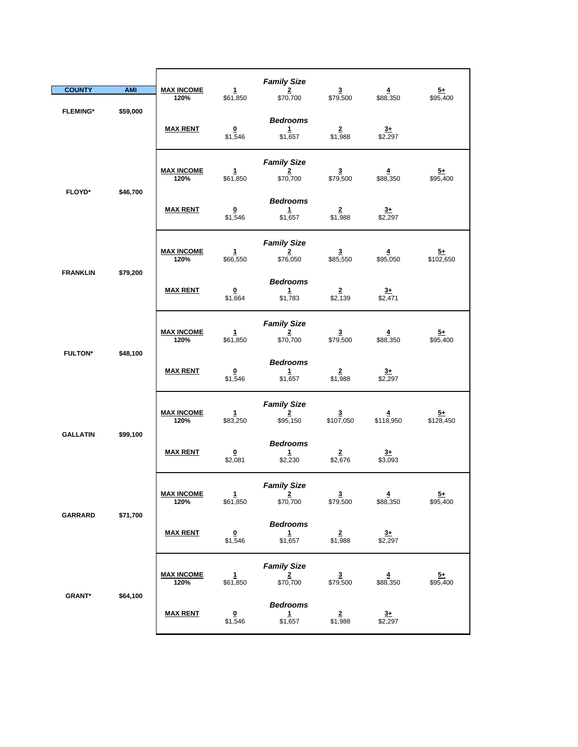| <b>COUNTY</b>   | <b>AMI</b>                  | <b>MAX INCOME</b><br>120% | $\mathbf{1}$<br>\$61,850            | <b>Family Size</b><br>$\overline{2}$<br>\$70,700 | $\overline{\mathbf{3}}$<br>\$79,500  | $\overline{\mathbf{4}}$<br>\$88,350 | $\frac{5+}{2}$<br>\$95,400  |
|-----------------|-----------------------------|---------------------------|-------------------------------------|--------------------------------------------------|--------------------------------------|-------------------------------------|-----------------------------|
| <b>FLEMING*</b> | \$59,000                    | <b>MAX RENT</b>           | $\Omega$<br>\$1,546                 | <b>Bedrooms</b><br>$\mathbf{1}$<br>\$1,657       | $\mathbf{2}$<br>\$1,988              | $3+$<br>\$2,297                     |                             |
|                 |                             | <b>MAX INCOME</b><br>120% | 1<br>\$61,850                       | <b>Family Size</b><br>$\overline{2}$<br>\$70,700 | $\overline{\mathbf{3}}$<br>\$79,500  | 4<br>\$88,350                       | $\frac{5+}{95,400}$         |
| <b>FLOYD*</b>   | \$46,700                    | <b>MAX RENT</b>           | $\overline{\mathbf{0}}$<br>\$1,546  | <b>Bedrooms</b><br>1<br>\$1,657                  | $\overline{2}$<br>\$1,988            | $\frac{3+}{2}$ \$2,297              |                             |
|                 | <b>FRANKLIN</b><br>\$79,200 | <b>MAX INCOME</b><br>120% | $\mathbf{1}$<br>\$66,550            | <b>Family Size</b><br>2<br>\$76,050              | $\mathbf{3}$<br>\$85,550             | 4<br>\$95,050                       | $5+$<br>\$102,650           |
|                 |                             | <b>MAX RENT</b>           | $\overline{\mathbf{0}}$<br>\$1,664  | <b>Bedrooms</b><br>1<br>\$1,783                  | $\overline{2}$<br>\$2,139            | $3+$<br>\$2,471                     |                             |
|                 |                             | <b>MAX INCOME</b><br>120% | $\mathbf{1}$<br>\$61,850            | <b>Family Size</b><br>$\overline{2}$<br>\$70,700 | $\frac{3}{1}$ \$79,500               | $\overline{4}$<br>\$88,350          | $\frac{5+}{95,400}$         |
| <b>FULTON*</b>  | \$48,100                    | <b>MAX RENT</b>           | $\overline{\mathbf{0}}$<br>\$1,546  | <b>Bedrooms</b><br>$\mathbf{1}$<br>\$1,657       | $\overline{2}$<br>\$1,988            | $\frac{3+}{2}$<br>\$2,297           |                             |
|                 |                             | <b>MAX INCOME</b><br>120% | $\mathbf{1}$<br>\$83,250            | <b>Family Size</b><br>$\overline{2}$<br>\$95,150 | $\overline{\mathbf{3}}$<br>\$107,050 | $\overline{4}$<br>\$118,950         | $\frac{5+}{2}$<br>\$128,450 |
| <b>GALLATIN</b> | \$99,100                    | <b>MAX RENT</b>           | $\underline{\mathbf{0}}$<br>\$2,081 | <b>Bedrooms</b><br>$\mathbf{1}$<br>\$2,230       | $\frac{2}{2,676}$                    | $\frac{3+}{1}$ \$3,093              |                             |
|                 |                             | <b>MAX INCOME</b><br>120% | 1<br>\$61,850                       | <b>Family Size</b><br>$\overline{2}$<br>\$70,700 | $\overline{3}$<br>\$79,500           | $\overline{4}$<br>\$88,350          | $\overline{5+}$<br>\$95,400 |
| GARRARD         | \$71,700                    | <b>MAX RENT</b>           | $\overline{\mathbf{0}}$<br>\$1,546  | <b>Bedrooms</b><br>$\frac{1}{\$1,657}$           | $\frac{2}{1,988}$                    | $\frac{3+}{2,297}$                  |                             |
|                 |                             | <b>MAX INCOME</b><br>120% | $\frac{1}{661,850}$                 | <b>Family Size</b><br>$\frac{2}{\$70,700}$       | $\frac{3}{1}$ \$79,500               | $\frac{4}{1}$ \$88,350              | $\frac{5+}{95,400}$         |
| <b>GRANT*</b>   | \$64,100                    | <b>MAX RENT</b>           | $\overline{\mathbf{0}}$<br>\$1,546  | <b>Bedrooms</b><br>$\mathbf{1}$<br>\$1,657       | $\overline{2}$<br>\$1,988            | $rac{3+}{2}$<br>\$2,297             |                             |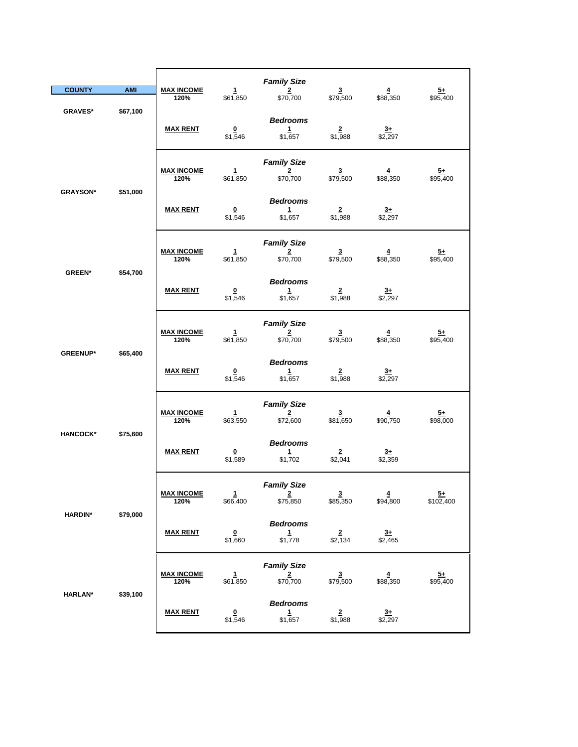|                           |                 |                                    |                                            | <b>Family Size</b>                                        |                                     |                            |                              |
|---------------------------|-----------------|------------------------------------|--------------------------------------------|-----------------------------------------------------------|-------------------------------------|----------------------------|------------------------------|
| <b>COUNTY</b>             | <b>AMI</b>      | <b>MAX INCOME</b><br>120%          | $\mathbf{1}$<br>\$61,850                   | $\overline{2}$<br>\$70,700                                | $\overline{\mathbf{3}}$<br>\$79,500 | $\overline{4}$<br>\$88,350 | $\frac{5+}{2}$<br>\$95,400   |
| <b>GRAVES*</b>            | \$67,100        | <b>MAX RENT</b>                    | $\overline{\mathbf{0}}$<br>\$1,546         | <b>Bedrooms</b><br>1<br>\$1,657                           | $\overline{2}$<br>\$1,988           | $3+$<br>$\sqrt{2,297}$     |                              |
| <b>GRAYSON*</b>           | \$51,000        | <b>MAX INCOME</b><br>120%          | 1<br>\$61,850                              | <b>Family Size</b><br>$\overline{2}$<br>\$70,700          | $\overline{3}$<br>\$79,500          | 4<br>\$88,350              | <u>5+</u><br>\$95,400        |
|                           |                 | <b>MAX RENT</b>                    | $\overline{\mathbf{0}}$<br>\$1,546         | <b>Bedrooms</b><br>$\mathbf{1}$<br>\$1,657                | $\frac{2}{1,988}$                   | $\frac{3+}{2,297}$         |                              |
|                           |                 | <b>MAX INCOME</b><br>120%          | $\mathbf{1}$<br>\$61,850                   | <b>Family Size</b><br>$\overline{\mathbf{2}}$<br>\$70,700 | $\overline{\mathbf{3}}$<br>\$79,500 | $\overline{4}$<br>\$88,350 | $5+$<br>\$95,400             |
| \$54,700<br><b>GREEN*</b> | <b>MAX RENT</b> | $\overline{\mathbf{0}}$<br>\$1,546 | <b>Bedrooms</b><br>$\mathbf{1}$<br>\$1,657 | $\overline{2}$<br>\$1,988                                 | $\overline{3+}$<br>\$2,297          |                            |                              |
|                           |                 | <b>MAX INCOME</b><br>120%          | $\mathbf{1}$<br>\$61,850                   | <b>Family Size</b><br>$\overline{\mathbf{2}}$<br>\$70,700 | $\frac{3}{1}$ \$79,500              | $\frac{4}{1}$ \$88,350     | $\frac{5+}{95,400}$          |
| <b>GREENUP*</b>           | \$65,400        | <b>MAX RENT</b>                    | $\overline{\mathbf{0}}$<br>\$1,546         | <b>Bedrooms</b><br>$\mathbf{1}$<br>\$1,657                | $\overline{\mathbf{2}}$<br>\$1,988  | $rac{3+}{2}$<br>\$2,297    |                              |
| <b>HANCOCK*</b>           | \$75,600        | <b>MAX INCOME</b><br>120%          | $\mathbf{1}$<br>\$63,550                   | <b>Family Size</b><br>$\overline{2}$<br>\$72,600          | $\overline{\mathbf{3}}$<br>\$81,650 | $\overline{4}$<br>\$90,750 | $\frac{5+}{2}$<br>\$98,000   |
|                           |                 | <b>MAX RENT</b>                    | $\overline{\mathbf{0}}$<br>\$1,589         | <b>Bedrooms</b><br>1<br>\$1,702                           | $\frac{2}{2,041}$                   | $3+$<br>\$2,359            |                              |
| <b>HARDIN*</b>            | \$79,000        | <b>MAX INCOME</b><br>120%          | 1<br>\$66,400                              | <b>Family Size</b><br>$\overline{2}$<br>\$75,850          | $\overline{\mathbf{3}}$<br>\$85,350 | $\overline{4}$<br>\$94,800 | $\overline{5}+$<br>\$102,400 |
|                           |                 | <b>MAX RENT</b>                    | $\overline{\mathbf{0}}$<br>\$1,660         | <b>Bedrooms</b><br>$\mathbf{1}$<br>\$1,778                | $\frac{2}{2,134}$                   | $\frac{3+}{2,465}$         |                              |
| <b>HARLAN*</b>            |                 | <b>MAX INCOME</b><br>120%          | 1<br>\$61,850                              | <b>Family Size</b><br>$\frac{2}{\$70,700}$                | $\overline{\mathbf{3}}$<br>\$79,500 | $\overline{4}$<br>\$88,350 | $\frac{5+}{95,400}$          |
|                           | \$39,100        | <b>MAX RENT</b>                    | $\overline{\mathbf{0}}$<br>\$1,546         | <b>Bedrooms</b><br>$\mathbf{1}$<br>\$1,657                | $\overline{2}$<br>\$1,988           | $3+$<br>\$2,297            |                              |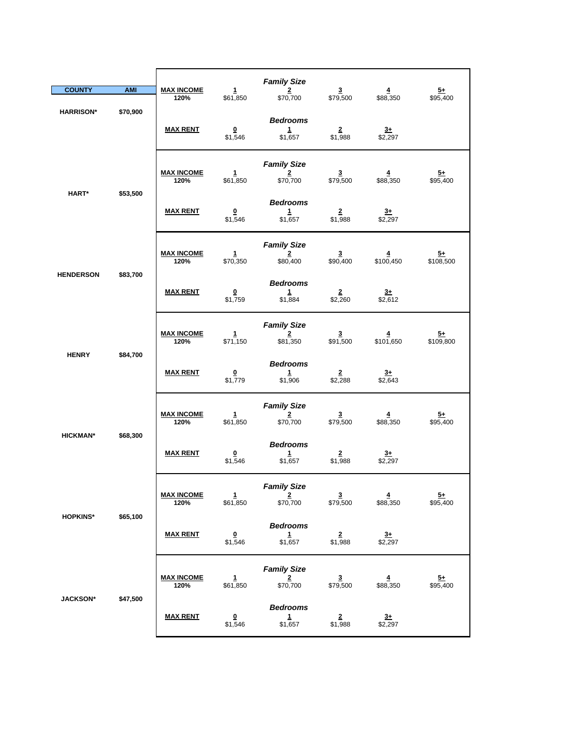|                   |                 |                                    |                                            | <b>Family Size</b>                                        |                                     |                            |                             |
|-------------------|-----------------|------------------------------------|--------------------------------------------|-----------------------------------------------------------|-------------------------------------|----------------------------|-----------------------------|
| <b>COUNTY</b>     | <b>AMI</b>      | <b>MAX INCOME</b>                  | $\mathbf{1}$                               | $\overline{2}$                                            | $\overline{\mathbf{3}}$             | $\overline{4}$             | $5+$                        |
| <b>HARRISON*</b>  | \$70,900        | 120%                               | \$61,850                                   | \$70,700<br><b>Bedrooms</b>                               | \$79,500                            | \$88,350                   | \$95,400                    |
|                   |                 | <b>MAX RENT</b>                    | $\overline{\mathbf{0}}$<br>\$1,546         | 1<br>\$1,657                                              | $\overline{2}$<br>\$1,988           | $\frac{3+}{2}$             |                             |
| HART*<br>\$53,500 |                 | <b>MAX INCOME</b><br>120%          | $\mathbf{1}$<br>\$61,850                   | <b>Family Size</b><br>$\overline{2}$<br>\$70,700          | $\overline{\mathbf{3}}$<br>\$79,500 | $\overline{4}$<br>\$88,350 | $\overline{5+}$<br>\$95,400 |
|                   |                 | <b>MAX RENT</b>                    | $\overline{\mathbf{0}}$<br>\$1,546         | <b>Bedrooms</b><br>1<br>\$1,657                           | $\overline{2}$<br>\$1,988           | $\frac{3+}{2,297}$         |                             |
| <b>HENDERSON</b>  | \$83,700        | <b>MAX INCOME</b><br>120%          | 1<br>\$70,350                              | <b>Family Size</b><br>$\overline{\mathbf{2}}$<br>\$80,400 | $\overline{\mathbf{3}}$<br>\$90,400 | $\frac{4}{100,450}$        | $\frac{5+}{108,500}$        |
|                   | <b>MAX RENT</b> | $\overline{\mathbf{0}}$<br>\$1,759 | <b>Bedrooms</b><br>$\mathbf{1}$<br>\$1,884 | $\overline{2}$<br>\$2,260                                 | $3+$<br>\$2,612                     |                            |                             |
| <b>HENRY</b>      | \$84,700        | <b>MAX INCOME</b><br>120%          | $\mathbf{1}$<br>\$71,150                   | <b>Family Size</b><br>$\overline{2}$<br>\$81,350          | $\overline{\mathbf{3}}$<br>\$91,500 | $\frac{4}{101,650}$        | $\frac{5+}{109,800}$        |
|                   |                 | <b>MAX RENT</b>                    | $\overline{\mathbf{0}}$<br>\$1,779         | <b>Bedrooms</b><br>$\mathbf{1}$<br>\$1,906                | $\overline{2}$<br>\$2,288           | $3+$<br>\$2,643            |                             |
| <b>HICKMAN*</b>   | \$68,300        | <b>MAX INCOME</b><br>120%          | $\mathbf{1}$<br>\$61,850                   | <b>Family Size</b><br>$\overline{2}$<br>\$70,700          | $\overline{\mathbf{3}}$<br>\$79,500 | $\overline{4}$<br>\$88,350 | $\frac{5+}{2}$<br>\$95,400  |
|                   |                 | <b>MAX RENT</b>                    | $\overline{\mathbf{0}}$<br>\$1,546         | <b>Bedrooms</b><br>1<br>\$1,657                           | $\frac{2}{1,988}$                   | $3+$<br>\$2,297            |                             |
|                   |                 | <b>MAX INCOME</b><br>120%          | 1<br>\$61,850                              | <b>Family Size</b><br>$\overline{\mathbf{2}}$<br>\$70,700 | $\overline{\mathbf{3}}$<br>\$79,500 | 4<br>\$88,350              | $\frac{5+}{2}$<br>\$95,400  |
| <b>HOPKINS*</b>   | \$65,100        | <b>MAX RENT</b>                    | $\overline{\mathbf{0}}$<br>\$1,546         | <b>Bedrooms</b><br>$\mathbf{1}$<br>\$1,657                | $\frac{2}{1,988}$                   | $\frac{3+}{2,297}$         |                             |
|                   |                 | <b>MAX INCOME</b><br>120%          | $\frac{1}{1}$ \$61,850                     | <b>Family Size</b><br>$\frac{2}{\$70,700}$                | $\frac{3}{1}$ \$79,500              | $\frac{4}{1}$ \$88,350     | $\frac{5+}{2}$<br>\$95,400  |
| <b>JACKSON*</b>   | \$47,500        | <b>MAX RENT</b>                    | $\overline{\mathbf{0}}$<br>\$1,546         | <b>Bedrooms</b><br>$\mathbf{1}$<br>\$1,657                | $\overline{2}$<br>\$1,988           | $3+$<br>\$2,297            |                             |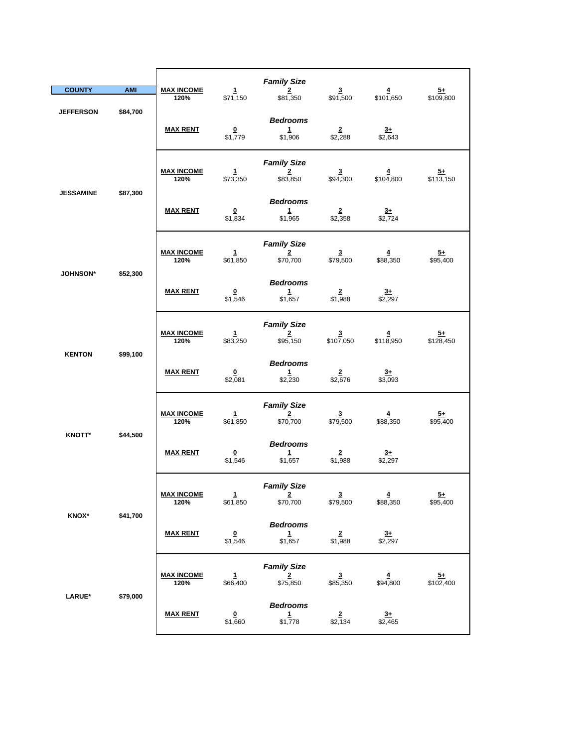| <b>COUNTY</b>               | <b>AMI</b>      | <b>MAX INCOME</b>         | 1                                          | <b>Family Size</b><br>$\overline{2}$             | $\overline{\mathbf{3}}$              | $\overline{4}$              |                             |
|-----------------------------|-----------------|---------------------------|--------------------------------------------|--------------------------------------------------|--------------------------------------|-----------------------------|-----------------------------|
|                             |                 | 120%                      | \$71,150                                   | \$81,350                                         | \$91,500                             | \$101,650                   | $\frac{5+}{109,800}$        |
| <b>JEFFERSON</b>            | \$84,700        | <b>MAX RENT</b>           | $\overline{\mathbf{0}}$<br>\$1,779         | <b>Bedrooms</b><br>1<br>\$1,906                  | $\frac{2}{2}$ \$2,288                | $3+$<br>\$2,643             |                             |
|                             |                 | <b>MAX INCOME</b><br>120% | 1<br>\$73,350                              | <b>Family Size</b><br>$\mathbf{2}$<br>\$83,850   | $\overline{\mathbf{3}}$<br>\$94,300  | 4<br>\$104,800              | $\frac{5+}{2}$<br>\$113,150 |
| <b>JESSAMINE</b>            | \$87,300        | <b>MAX RENT</b>           | $\overline{\mathbf{0}}$<br>\$1,834         | <b>Bedrooms</b><br>$\mathbf{1}$<br>\$1,965       | $\overline{2}$<br>\$2,358            | $\frac{3+}{2}$<br>\$2,724   |                             |
|                             |                 | <b>MAX INCOME</b><br>120% | $\mathbf{1}$<br>\$61,850                   | <b>Family Size</b><br>2<br>\$70,700              | $\overline{\mathbf{3}}$<br>\$79,500  | $\overline{4}$<br>\$88,350  | $\frac{5+}{2}$<br>\$95,400  |
| <b>JOHNSON*</b><br>\$52,300 | <b>MAX RENT</b> | 0<br>\$1,546              | <b>Bedrooms</b><br>$\mathbf{1}$<br>\$1,657 | $\overline{2}$<br>\$1,988                        | $3+$<br>\$2,297                      |                             |                             |
|                             |                 | <b>MAX INCOME</b><br>120% | $\mathbf{1}$<br>\$83,250                   | <b>Family Size</b><br>$\overline{2}$<br>\$95,150 | $\overline{\mathbf{3}}$<br>\$107,050 | $\overline{4}$<br>\$118,950 | $5+$<br>\$128,450           |
| <b>KENTON</b>               | \$99,100        | <b>MAX RENT</b>           | $\overline{\mathbf{0}}$<br>\$2,081         | <b>Bedrooms</b><br>$\mathbf{1}$<br>\$2,230       | $\frac{2}{2,676}$                    | $3+$<br>\$3,093             |                             |
|                             |                 | <b>MAX INCOME</b><br>120% | $\mathbf{1}$<br>\$61,850                   | <b>Family Size</b><br>2<br>\$70,700              | $\mathbf{3}$<br>\$79,500             | $\overline{4}$<br>\$88,350  | $\frac{5+}{2}$<br>\$95,400  |
| <b>KNOTT*</b>               | \$44,500        | <b>MAX RENT</b>           | $\overline{\mathbf{0}}$<br>\$1,546         | <b>Bedrooms</b><br>$\mathbf{1}$<br>\$1,657       | $\overline{\mathbf{2}}$<br>\$1,988   | $3+$<br>\$2,297             |                             |
|                             |                 | <b>MAX INCOME</b><br>120% | $\mathbf{1}$<br>\$61,850                   | <b>Family Size</b><br>$\frac{2}{\$70,700}$       | $\frac{3}{1}$ \$79,500               | $\overline{4}$<br>\$88,350  | $5+$<br>\$95,400            |
| <b>KNOX*</b>                | \$41,700        | <b>MAX RENT</b>           | $\overline{\mathbf{0}}$<br>\$1,546         | <b>Bedrooms</b><br>$\mathbf{1}$<br>\$1,657       | $\overline{2}$<br>\$1,988            | $\frac{3+}{2}$<br>\$2,297   |                             |
|                             |                 | <b>MAX INCOME</b><br>120% | $\mathbf{1}$<br>\$66,400                   | <b>Family Size</b><br>$\overline{2}$<br>\$75,850 | $\overline{\mathbf{3}}$<br>\$85,350  | $\overline{4}$<br>\$94,800  | $\frac{5+}{102,400}$        |
| LARUE*                      | \$79,000        | <b>MAX RENT</b>           | $\overline{\mathbf{0}}$<br>\$1,660         | <b>Bedrooms</b><br>$\mathbf{1}$<br>\$1,778       | $\overline{2}$<br>\$2,134            | $3+$<br>\$2,465             |                             |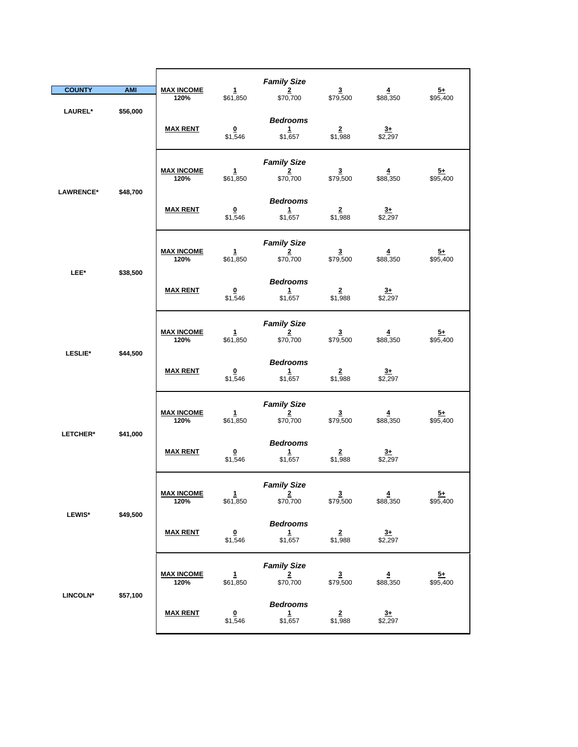| <b>COUNTY</b>    | <b>AMI</b> | <b>MAX INCOME</b><br>120% | $\mathbf{1}$<br>\$61,850            | <b>Family Size</b><br>$\overline{2}$<br>\$70,700          | $\overline{\mathbf{3}}$<br>\$79,500 | $\overline{4}$<br>\$88,350 | $5+$<br>\$95,400            |
|------------------|------------|---------------------------|-------------------------------------|-----------------------------------------------------------|-------------------------------------|----------------------------|-----------------------------|
| LAUREL*          | \$56,000   | <b>MAX RENT</b>           | $\Omega$<br>\$1,546                 | <b>Bedrooms</b><br>$\mathbf{1}$<br>\$1,657                | $\overline{2}$<br>\$1,988           | $3+$<br>\$2,297            |                             |
| <b>LAWRENCE*</b> | \$48,700   | <b>MAX INCOME</b><br>120% | 1<br>\$61,850                       | <b>Family Size</b><br>$\overline{2}$<br>\$70,700          | $\overline{\mathbf{3}}$<br>\$79,500 | 4<br>\$88,350              | <u>5+</u><br>\$95,400       |
|                  |            | <b>MAX RENT</b>           | $\overline{\mathbf{0}}$<br>\$1,546  | <b>Bedrooms</b><br>1<br>\$1,657                           | $\frac{2}{1,988}$                   | $3+$<br>$\sqrt{2,297}$     |                             |
| LEE*             | \$38,500   | <b>MAX INCOME</b><br>120% | $\mathbf{1}$<br>\$61,850            | <b>Family Size</b><br>$\overline{2}$<br>\$70,700          | $\overline{\mathbf{3}}$<br>\$79,500 | $\overline{4}$<br>\$88,350 | $5+$<br>\$95,400            |
|                  |            | <b>MAX RENT</b>           | $\overline{\mathbf{0}}$<br>\$1,546  | <b>Bedrooms</b><br>$\mathbf{1}$<br>\$1,657                | $\overline{2}$<br>\$1,988           | $\overline{3+}$<br>\$2,297 |                             |
| LESLIE*          | \$44,500   | <b>MAX INCOME</b><br>120% | $\mathbf{1}$<br>\$61,850            | <b>Family Size</b><br>$\overline{2}$<br>\$70,700          | $\frac{3}{1}$ \$79,500              | $\frac{4}{1}$ \$88,350     | $\frac{5+}{95,400}$         |
|                  |            | <b>MAX RENT</b>           | $\overline{\mathbf{0}}$<br>\$1,546  | <b>Bedrooms</b><br>1<br>\$1,657                           | $\overline{2}$<br>\$1,988           | $3+$<br>\$2,297            |                             |
| LETCHER*         | \$41,000   | <b>MAX INCOME</b><br>120% | $\mathbf{1}$<br>\$61,850            | <b>Family Size</b><br>$\overline{\mathbf{2}}$<br>\$70,700 | $\overline{\mathbf{3}}$<br>\$79,500 | $\overline{4}$<br>\$88,350 | $\frac{5+}{2}$<br>\$95,400  |
|                  |            | <b>MAX RENT</b>           | $\underline{\mathbf{0}}$<br>\$1,546 | <b>Bedrooms</b><br>1<br>\$1,657                           | $\overline{2}$<br>\$1,988           | $3+$<br>\$2,297            |                             |
| <b>LEWIS*</b>    | \$49,500   | <b>MAX INCOME</b><br>120% | $\mathbf{1}$<br>\$61,850            | <b>Family Size</b><br>$\overline{2}$<br>\$70,700          | $\overline{3}$<br>\$79,500          | $\overline{4}$<br>\$88,350 | $\overline{5+}$<br>\$95,400 |
|                  |            | <b>MAX RENT</b>           | $\overline{\mathbf{0}}$<br>\$1,546  | <b>Bedrooms</b><br>$\frac{1}{1,657}$                      | $\frac{2}{1,988}$                   | $\frac{3+}{2,297}$         |                             |
| LINCOLN*         |            | <b>MAX INCOME</b><br>120% | $\mathbf{1}$<br>\$61,850            | <b>Family Size</b><br>$\frac{2}{\$70,700}$                | $\frac{3}{1}$ \$79,500              | $\frac{4}{1}$ \$88,350     | $\frac{5+}{95,400}$         |
|                  | \$57,100   | <b>MAX RENT</b>           | $\overline{\mathbf{0}}$<br>\$1,546  | <b>Bedrooms</b><br>$\mathbf{1}$<br>\$1,657                | $\overline{2}$<br>\$1,988           | $rac{3+}{2}$<br>\$2,297    |                             |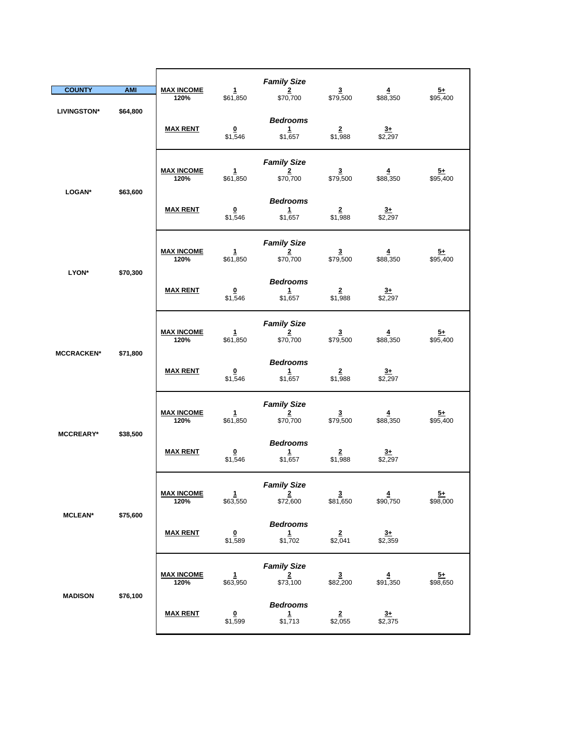|                    |                 |                                    |                                            | <b>Family Size</b>                                        |                                     |                            |                             |
|--------------------|-----------------|------------------------------------|--------------------------------------------|-----------------------------------------------------------|-------------------------------------|----------------------------|-----------------------------|
| <b>COUNTY</b>      | <b>AMI</b>      | <b>MAX INCOME</b><br>120%          | $\mathbf{1}$<br>\$61,850                   | $\overline{2}$<br>\$70,700                                | $\overline{\mathbf{3}}$<br>\$79,500 | $\overline{4}$<br>\$88,350 | $\frac{5+}{2}$<br>\$95,400  |
| <b>LIVINGSTON*</b> | \$64,800        | <b>MAX RENT</b>                    | $\overline{\mathbf{0}}$<br>\$1,546         | <b>Bedrooms</b><br>1<br>\$1,657                           | $\overline{2}$<br>\$1,988           | $3+$<br>\$2,297            |                             |
|                    |                 | <b>MAX INCOME</b><br>120%          | $\mathbf{1}$<br>\$61,850                   | <b>Family Size</b><br>$\overline{\mathbf{2}}$<br>\$70,700 | $\overline{\mathbf{3}}$<br>\$79,500 | 4<br>\$88,350              | <u>5+</u><br>\$95,400       |
| LOGAN*             | \$63,600        | <b>MAX RENT</b>                    | $\overline{\mathbf{0}}$<br>\$1,546         | <b>Bedrooms</b><br>1<br>\$1,657                           | $\overline{2}$<br>\$1,988           | $\frac{3+}{2,297}$         |                             |
|                    |                 | <b>MAX INCOME</b><br>120%          | 1<br>\$61,850                              | <b>Family Size</b><br>2<br>\$70,700                       | $\overline{\mathbf{3}}$<br>\$79,500 | $\overline{4}$<br>\$88,350 | $5+$<br>\$95,400            |
| LYON*<br>\$70,300  | <b>MAX RENT</b> | $\overline{\mathbf{0}}$<br>\$1,546 | <b>Bedrooms</b><br>$\mathbf{1}$<br>\$1,657 | $\overline{2}$<br>\$1,988                                 | <u>3+</u><br>\$2,297                |                            |                             |
|                    |                 | <b>MAX INCOME</b><br>120%          | 1<br>\$61,850                              | <b>Family Size</b><br>$\frac{2}{\$70,700}$                | $\frac{3}{1}$ \$79,500              | $\frac{4}{1}$ \$88,350     | $\frac{5+}{95,400}$         |
| <b>MCCRACKEN*</b>  | \$71,800        | <b>MAX RENT</b>                    | $\overline{\mathbf{0}}$<br>\$1,546         | <b>Bedrooms</b><br>1<br>\$1,657                           | $\overline{2}$<br>\$1,988           | $\frac{3+}{2}$<br>\$2,297  |                             |
| <b>MCCREARY*</b>   | \$38,500        | <b>MAX INCOME</b><br>120%          | $\mathbf{1}$<br>\$61,850                   | <b>Family Size</b><br>$\overline{2}$<br>\$70,700          | $\overline{\mathbf{3}}$<br>\$79,500 | $\overline{4}$<br>\$88,350 | $\frac{5+}{2}$<br>\$95,400  |
|                    |                 | <b>MAX RENT</b>                    | $\overline{\mathbf{0}}$<br>\$1,546         | <b>Bedrooms</b><br>1<br>\$1,657                           | $\overline{\mathbf{2}}$<br>\$1,988  | $3+$<br>\$2,297            |                             |
|                    | \$75,600        | <b>MAX INCOME</b><br>120%          | 1<br>\$63,550                              | <b>Family Size</b><br>$\overline{2}$<br>\$72,600          | $\overline{\mathbf{3}}$<br>\$81,650 | $\overline{4}$<br>\$90,750 | $\overline{5+}$<br>\$98,000 |
| <b>MCLEAN*</b>     |                 | <b>MAX RENT</b>                    | $\overline{\mathbf{0}}$<br>\$1,589         | <b>Bedrooms</b><br>$\mathbf{1}$<br>\$1,702                | $\overline{2}$<br>\$2,041           | $3+$<br>\$2,359            |                             |
| <b>MADISON</b>     |                 | <b>MAX INCOME</b><br>120%          | 1<br>\$63,950                              | <b>Family Size</b><br>$\frac{2}{1573,100}$                | $\frac{3}{100}$                     | $\frac{4}{1,350}$          | $\frac{5+}{98,650}$         |
|                    | \$76,100        | <b>MAX RENT</b>                    | $\overline{\mathbf{0}}$<br>\$1,599         | <b>Bedrooms</b><br>$\mathbf{1}$<br>\$1,713                | $\overline{2}$<br>\$2,055           | $3+$<br>\$2,375            |                             |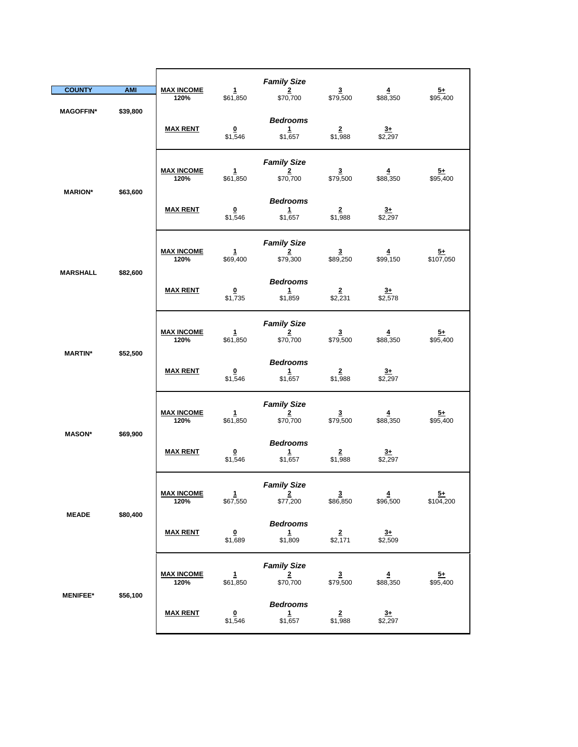| <b>COUNTY</b>    | <b>AMI</b> | <b>MAX INCOME</b><br>120% | $\mathbf{1}$<br>\$61,850           | <b>Family Size</b><br>$\overline{2}$<br>\$70,700          | $\overline{\mathbf{3}}$<br>\$79,500 | $\overline{4}$<br>\$88,350        | $5+$<br>\$95,400             |
|------------------|------------|---------------------------|------------------------------------|-----------------------------------------------------------|-------------------------------------|-----------------------------------|------------------------------|
| <b>MAGOFFIN*</b> | \$39,800   | <b>MAX RENT</b>           | $\bf{0}$<br>\$1,546                | <b>Bedrooms</b><br>$\mathbf{1}$<br>\$1,657                | $\overline{2}$<br>\$1,988           | $3+$<br>\$2,297                   |                              |
| <b>MARION*</b>   | \$63,600   | <b>MAX INCOME</b><br>120% | 1<br>\$61,850                      | <b>Family Size</b><br>$\overline{2}$<br>\$70,700          | $\overline{\mathbf{3}}$<br>\$79,500 | 4<br>\$88,350                     | <u>5+</u><br>\$95,400        |
|                  |            | <b>MAX RENT</b>           | $\overline{\mathbf{0}}$<br>\$1,546 | <b>Bedrooms</b><br>1<br>\$1,657                           | $\overline{2}$<br>\$1,988           | $\frac{3+}{2}$<br>$\sqrt{$2,297}$ |                              |
| <b>MARSHALL</b>  | \$82,600   | <b>MAX INCOME</b><br>120% | $\mathbf{1}$<br>\$69,400           | <b>Family Size</b><br>$\overline{2}$<br>\$79,300          | $\overline{\mathbf{3}}$<br>\$89,250 | $\overline{4}$<br>\$99,150        | $5+$<br>\$107,050            |
|                  |            | <b>MAX RENT</b>           | $\overline{\mathbf{0}}$<br>\$1,735 | <b>Bedrooms</b><br>$\mathbf{1}$<br>\$1,859                | $\overline{\mathbf{2}}$<br>\$2,231  | <u>3+</u><br>\$2,578              |                              |
| <b>MARTIN*</b>   | \$52,500   | <b>MAX INCOME</b><br>120% | 1<br>\$61,850                      | <b>Family Size</b><br>$\overline{\mathbf{2}}$<br>\$70,700 | $\frac{3}{1}$ \$79,500              | $\frac{4}{1}$ \$88,350            | $\frac{5+}{95,400}$          |
|                  |            | <b>MAX RENT</b>           | $\overline{\mathbf{0}}$<br>\$1,546 | <b>Bedrooms</b><br>$\mathbf{1}$<br>\$1,657                | $\overline{2}$<br>\$1,988           | $rac{3+}{2}$<br>\$2,297           |                              |
| <b>MASON*</b>    | \$69,900   | <b>MAX INCOME</b><br>120% | $\mathbf{1}$<br>\$61,850           | <b>Family Size</b><br>$\overline{\mathbf{2}}$<br>\$70,700 | $\overline{\mathbf{3}}$<br>\$79,500 | $\overline{4}$<br>\$88,350        | $\frac{5+}{2}$<br>\$95,400   |
|                  |            | <b>MAX RENT</b>           | $\overline{\mathbf{0}}$<br>\$1,546 | <b>Bedrooms</b><br>$\mathbf{1}$<br>\$1,657                | $\overline{\mathbf{2}}$<br>\$1,988  | $3+$<br>\$2,297                   |                              |
| <b>MEADE</b>     | \$80,400   | <b>MAX INCOME</b><br>120% | 1<br>\$67,550                      | <b>Family Size</b><br>$\overline{2}$<br>\$77,200          | $\overline{3}$<br>\$86,850          | $\overline{4}$<br>\$96,500        | $\overline{5}+$<br>\$104,200 |
|                  |            | <b>MAX RENT</b>           | $\overline{\mathbf{0}}$<br>\$1,689 | <b>Bedrooms</b><br>$\frac{1}{1,809}$                      | $\frac{2}{2,171}$                   | $\frac{3+}{2,509}$                |                              |
| <b>MENIFEE*</b>  | \$56,100   | <b>MAX INCOME</b><br>120% | $\mathbf{1}$<br>\$61,850           | <b>Family Size</b><br>$\frac{2}{\$70,700}$                | $\frac{3}{1}$ \$79,500              | $\frac{4}{1}$ \$88,350            | $\frac{5+}{95,400}$          |
|                  |            | <b>MAX RENT</b>           | $\overline{\mathbf{0}}$<br>\$1,546 | <b>Bedrooms</b><br>$\mathbf{1}$<br>\$1,657                | $\overline{2}$<br>\$1,988           | $rac{3+}{2}$<br>\$2,297           |                              |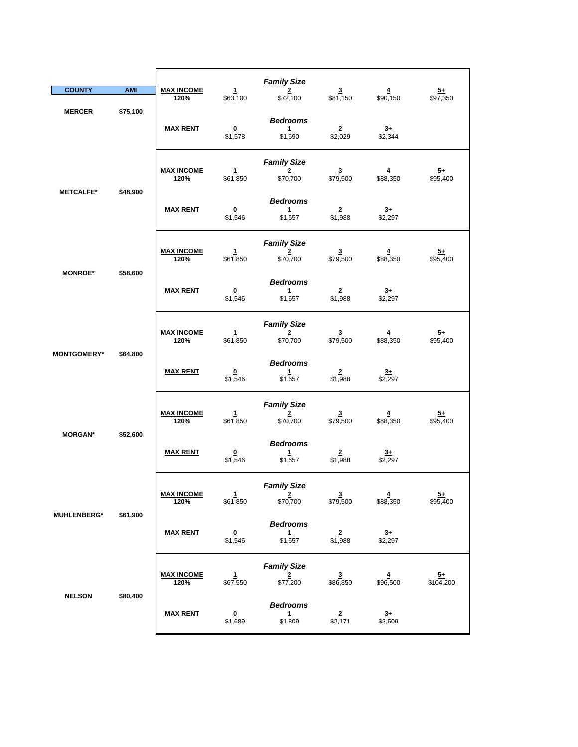| <b>COUNTY</b>      | <b>AMI</b> | <b>MAX INCOME</b>         | $\mathbf{1}$                        | <b>Family Size</b><br>$\overline{2}$             | $\overline{\mathbf{3}}$             | $\overline{4}$                      | $\frac{5+}{2}$              |
|--------------------|------------|---------------------------|-------------------------------------|--------------------------------------------------|-------------------------------------|-------------------------------------|-----------------------------|
|                    |            | 120%                      | \$63,100                            | \$72,100                                         | \$81,150                            | \$90,150                            | \$97,350                    |
| <b>MERCER</b>      | \$75,100   | <b>MAX RENT</b>           | $\bf{0}$<br>\$1,578                 | <b>Bedrooms</b><br>$\mathbf{1}$<br>\$1,690       | $\mathbf{2}$<br>\$2,029             | $3+$<br>\$2,344                     |                             |
|                    | \$48,900   | <b>MAX INCOME</b><br>120% | $\mathbf{1}$<br>\$61,850            | <b>Family Size</b><br>$\overline{2}$<br>\$70,700 | $\overline{\mathbf{3}}$<br>\$79,500 | $\overline{4}$<br>\$88,350          | $5+$<br>\$95,400            |
| <b>METCALFE*</b>   |            | <b>MAX RENT</b>           | $\overline{\mathbf{0}}$<br>\$1,546  | <b>Bedrooms</b><br>$\mathbf{1}$<br>\$1,657       | $\frac{2}{1,988}$                   | $\frac{3+}{2,297}$                  |                             |
|                    |            | <b>MAX INCOME</b><br>120% | $\mathbf{1}$<br>\$61,850            | <b>Family Size</b><br>$\overline{2}$<br>\$70,700 | $\mathbf{3}$<br>\$79,500            | $\overline{4}$<br>\$88,350          | $\frac{5+}{95,400}$         |
| <b>MONROE*</b>     | \$58,600   | <b>MAX RENT</b>           | $\underline{\mathbf{0}}$<br>\$1,546 | <b>Bedrooms</b><br>$\mathbf{1}$<br>\$1,657       | $\overline{2}$<br>\$1,988           | $3+$<br>\$2,297                     |                             |
|                    | \$64,800   | <b>MAX INCOME</b><br>120% | 1<br>\$61,850                       | <b>Family Size</b><br>$\overline{2}$<br>\$70,700 | $\overline{\mathbf{3}}$<br>\$79,500 | 4<br>\$88,350                       | $\overline{5+}$<br>\$95,400 |
| <b>MONTGOMERY*</b> |            | <b>MAX RENT</b>           | $\overline{\mathbf{0}}$<br>\$1,546  | <b>Bedrooms</b><br>$\mathbf{1}$<br>\$1,657       | $\overline{2}$<br>\$1,988           | $3+$<br>\$2,297                     |                             |
| <b>MORGAN*</b>     | \$52,600   | <b>MAX INCOME</b><br>120% | $\mathbf{1}$<br>\$61,850            | <b>Family Size</b><br>$\overline{2}$<br>\$70,700 | $\overline{\mathbf{3}}$<br>\$79,500 | $\overline{4}$<br>\$88,350          | $\overline{5+}$<br>\$95,400 |
|                    |            | <b>MAX RENT</b>           | $\overline{\mathbf{0}}$<br>\$1,546  | <b>Bedrooms</b><br>$\mathbf{1}$<br>\$1,657       | $\overline{\mathbf{2}}$<br>\$1,988  | $3+$<br>\$2,297                     |                             |
| <b>MUHLENBERG*</b> |            | <b>MAX INCOME</b><br>120% | $\mathbf{1}$<br>\$61,850            | <b>Family Size</b><br>$\frac{2}{\$70,700}$       | $\frac{3}{1}$ \$79,500              | $\overline{\mathbf{4}}$<br>\$88,350 | $\frac{5+}{2}$<br>\$95,400  |
|                    | \$61,900   | <b>MAX RENT</b>           | $\pmb{0}$<br>\$1,546                | <b>Bedrooms</b><br>$\mathbf{1}$<br>\$1,657       | $\overline{\mathbf{2}}$<br>\$1,988  | $3+$<br>\$2,297                     |                             |
|                    |            | <b>MAX INCOME</b><br>120% | 1<br>\$67,550                       | <b>Family Size</b><br>2<br>\$77,200              | $\overline{\mathbf{3}}$<br>\$86,850 | 4<br>\$96,500                       | $\frac{5+}{104,200}$        |
| <b>NELSON</b>      | \$80,400   | <b>MAX RENT</b>           | $\underline{\mathbf{0}}$<br>\$1,689 | <b>Bedrooms</b><br>$\mathbf{1}$<br>\$1,809       | $\overline{2}$<br>\$2,171           | $3+$<br>\$2,509                     |                             |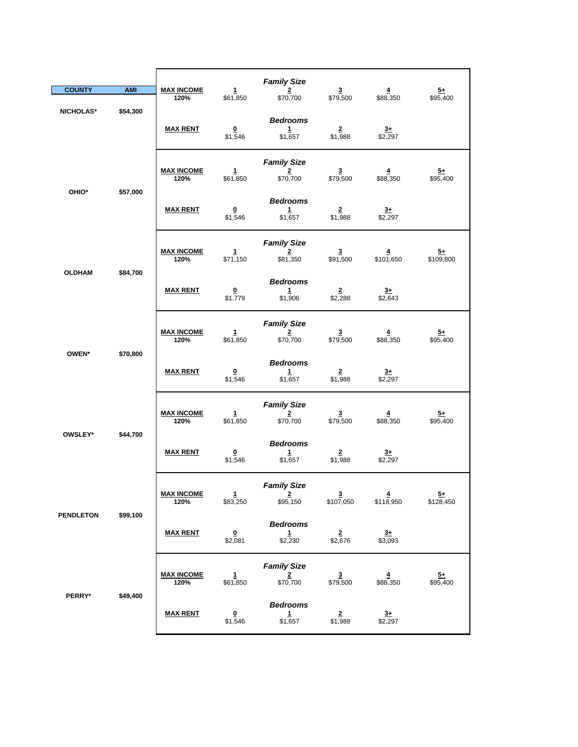|                           |            |                           |                                    | <b>Family Size</b>                               |                                      |                            |                             |
|---------------------------|------------|---------------------------|------------------------------------|--------------------------------------------------|--------------------------------------|----------------------------|-----------------------------|
| <b>COUNTY</b>             | <b>AMI</b> | <b>MAX INCOME</b>         | $\mathbf{1}$                       | $\overline{2}$                                   | $\overline{\mathbf{3}}$              | $\overline{4}$             | $\frac{5+}{2}$              |
| NICHOLAS*                 | \$54,300   | 120%                      | \$61,850                           | \$70,700                                         | \$79,500                             | \$88,350                   | \$95,400                    |
|                           |            | <b>MAX RENT</b>           | $\bf{0}$<br>\$1,546                | <b>Bedrooms</b><br>$\mathbf{1}$<br>\$1,657       | $\overline{\mathbf{2}}$<br>\$1,988   | $3+$<br>\$2,297            |                             |
| OHIO*                     |            | <b>MAX INCOME</b><br>120% | $\mathbf{1}$<br>\$61,850           | <b>Family Size</b><br>$\overline{2}$<br>\$70,700 | $\overline{\mathbf{3}}$<br>\$79,500  | $\overline{4}$<br>\$88,350 | $\frac{5+}{2}$<br>\$95,400  |
|                           | \$57,000   | <b>MAX RENT</b>           | $\frac{0}{1,546}$                  | <b>Bedrooms</b><br>$\mathbf{1}$<br>\$1,657       | $\frac{2}{1,988}$                    | $\frac{3+}{2,297}$         |                             |
|                           |            | <b>MAX INCOME</b><br>120% | $\mathbf{1}$<br>\$71,150           | <b>Family Size</b><br>$\overline{2}$<br>\$81,350 | $\overline{\mathbf{3}}$<br>\$91,500  | 4<br>\$101,650             | $\frac{5+}{109,800}$        |
| <b>OLDHAM</b><br>\$84,700 |            | <b>MAX RENT</b>           | $\overline{\mathbf{0}}$<br>\$1,779 | <b>Bedrooms</b><br>$\mathbf{1}$<br>\$1,906       | $\overline{2}$<br>\$2,288            | $3+$<br>\$2,643            |                             |
|                           |            | <b>MAX INCOME</b><br>120% | 1<br>\$61,850                      | <b>Family Size</b><br>$\frac{2}{\$70,700}$       | $\overline{\mathbf{3}}$<br>\$79,500  | $\overline{4}$<br>\$88,350 | $\frac{5+}{95,400}$         |
| OWEN*<br>\$70,800         |            | <b>MAX RENT</b>           | $\overline{\mathbf{0}}$<br>\$1,546 | <b>Bedrooms</b><br>$\mathbf{1}$<br>\$1,657       | $\overline{2}$<br>\$1,988            | $\frac{3+}{2}$<br>\$2,297  |                             |
| OWSLEY*                   | \$44,700   | <b>MAX INCOME</b><br>120% | $\mathbf{1}$<br>\$61,850           | <b>Family Size</b><br>$\overline{2}$<br>\$70,700 | $\overline{\mathbf{3}}$<br>\$79,500  | $\overline{4}$<br>\$88,350 | $\frac{5+}{95,400}$         |
|                           |            | <b>MAX RENT</b>           | $\overline{\mathbf{0}}$<br>\$1,546 | <b>Bedrooms</b><br>$\mathbf{1}$<br>\$1,657       | $\frac{2}{1,988}$                    | $3+$<br>$\sqrt{$2,297}$    |                             |
| <b>PENDLETON</b>          |            | <b>MAX INCOME</b><br>120% | $\mathbf{1}$<br>\$83,250           | <b>Family Size</b><br>$\overline{2}$<br>\$95,150 | $\overline{\mathbf{3}}$<br>\$107,050 | 4<br>\$118,950             | $\frac{5+}{2}$<br>\$128,450 |
|                           | \$99,100   | <b>MAX RENT</b>           | $\overline{\mathbf{0}}$<br>\$2,081 | <b>Bedrooms</b><br>1<br>\$2,230                  | $\frac{2}{2,676}$                    | $3+$<br>\$3,093            |                             |
|                           |            | <b>MAX INCOME</b><br>120% | 1<br>\$61,850                      | <b>Family Size</b><br>$\frac{2}{100}$            | 3<br>\$79,500                        | \$88,350                   | $\frac{5+}{95,400}$         |
| PERRY*                    | \$49,400   | <b>MAX RENT</b>           | $\overline{\mathbf{0}}$<br>\$1,546 | <b>Bedrooms</b><br>$\mathbf{1}$<br>\$1,657       | $\frac{2}{1,988}$                    | $\frac{3+}{2}$<br>\$2,297  |                             |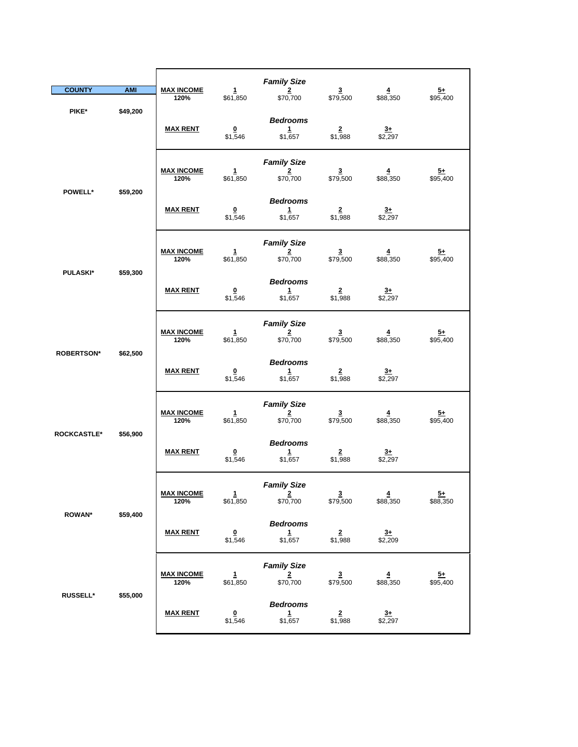| <b>COUNTY</b>              | <b>AMI</b> | <b>MAX INCOME</b><br>120% | $\mathbf{1}$<br>\$61,850           | <b>Family Size</b><br>$\overline{2}$<br>\$70,700          | $\overline{\mathbf{3}}$<br>\$79,500 | $\overline{4}$<br>\$88,350          | $\frac{5+}{2}$<br>\$95,400  |
|----------------------------|------------|---------------------------|------------------------------------|-----------------------------------------------------------|-------------------------------------|-------------------------------------|-----------------------------|
| PIKE*                      | \$49,200   | <b>MAX RENT</b>           | $\overline{\mathbf{0}}$<br>\$1,546 | <b>Bedrooms</b><br>1<br>\$1,657                           | $\overline{2}$<br>\$1,988           | $3+$<br>\$2,297                     |                             |
|                            |            | <b>MAX INCOME</b><br>120% | $\mathbf{1}$<br>\$61,850           | <b>Family Size</b><br>$\overline{2}$<br>\$70,700          | $\overline{\mathbf{3}}$<br>\$79,500 | 4<br>\$88,350                       | <u>5+</u><br>\$95,400       |
| <b>POWELL*</b><br>\$59,200 |            | <b>MAX RENT</b>           | $\overline{\mathbf{0}}$<br>\$1,546 | <b>Bedrooms</b><br>$\mathbf{1}$<br>\$1,657                | $\overline{2}$<br>\$1,988           | $\frac{3+}{2,297}$                  |                             |
|                            |            | <b>MAX INCOME</b><br>120% | $\mathbf{1}$<br>\$61,850           | <b>Family Size</b><br>$\overline{2}$<br>\$70,700          | $\mathbf{3}$<br>\$79,500            | $\overline{\mathbf{4}}$<br>\$88,350 | $5+$<br>\$95,400            |
| <b>PULASKI*</b>            | \$59,300   | <b>MAX RENT</b>           | $\overline{\mathbf{0}}$<br>\$1,546 | <b>Bedrooms</b><br>$\mathbf{1}$<br>\$1,657                | $\overline{2}$<br>\$1,988           | $\overline{3+}$<br>\$2,297          |                             |
|                            |            | <b>MAX INCOME</b><br>120% | 1<br>\$61,850                      | <b>Family Size</b><br>$\overline{\mathbf{2}}$<br>\$70,700 | $\frac{3}{1}$ \$79,500              | $\frac{4}{1}$ \$88,350              | $\frac{5+}{95,400}$         |
| <b>ROBERTSON*</b>          | \$62,500   | <b>MAX RENT</b>           | $\overline{\mathbf{0}}$<br>\$1,546 | <b>Bedrooms</b><br>$\mathbf{1}$<br>\$1,657                | $\overline{2}$<br>\$1,988           | $\overline{3+}$<br>\$2,297          |                             |
|                            | \$56,900   | <b>MAX INCOME</b><br>120% | $\mathbf{1}$<br>\$61,850           | <b>Family Size</b><br>$\overline{2}$<br>\$70,700          | $\overline{\mathbf{3}}$<br>\$79,500 | $\overline{\mathbf{4}}$<br>\$88,350 | $\frac{5+}{2}$<br>\$95,400  |
| <b>ROCKCASTLE*</b>         |            | <b>MAX RENT</b>           | $\overline{\mathbf{0}}$<br>\$1,546 | <b>Bedrooms</b><br>1<br>\$1,657                           | $\overline{2}$<br>\$1,988           | $3+$<br>\$2,297                     |                             |
| <b>ROWAN*</b>              | \$59,400   | <b>MAX INCOME</b><br>120% | 1<br>\$61,850                      | <b>Family Size</b><br>$\overline{2}$<br>\$70,700          | $\overline{3}$<br>\$79,500          | $\overline{4}$<br>\$88,350          | $\overline{5+}$<br>\$88,350 |
|                            |            | <b>MAX RENT</b>           | $\overline{\mathbf{0}}$<br>\$1,546 | <b>Bedrooms</b><br>$\mathbf{1}$<br>\$1,657                | $\frac{2}{1,988}$                   | $\frac{3+}{2,209}$                  |                             |
|                            |            | <b>MAX INCOME</b><br>120% | $\mathbf{1}$<br>\$61,850           | <b>Family Size</b><br>$\overline{\mathbf{2}}$<br>\$70,700 | $\frac{3}{1}$ \$79,500              | $\frac{4}{1}$ \$88,350              | $\frac{5+}{2}$<br>\$95,400  |
| <b>RUSSELL*</b>            | \$55,000   | <b>MAX RENT</b>           | $\overline{\mathbf{0}}$<br>\$1,546 | <b>Bedrooms</b><br>$\mathbf{1}$<br>\$1,657                | $\overline{2}$<br>\$1,988           | $3+$<br>\$2,297                     |                             |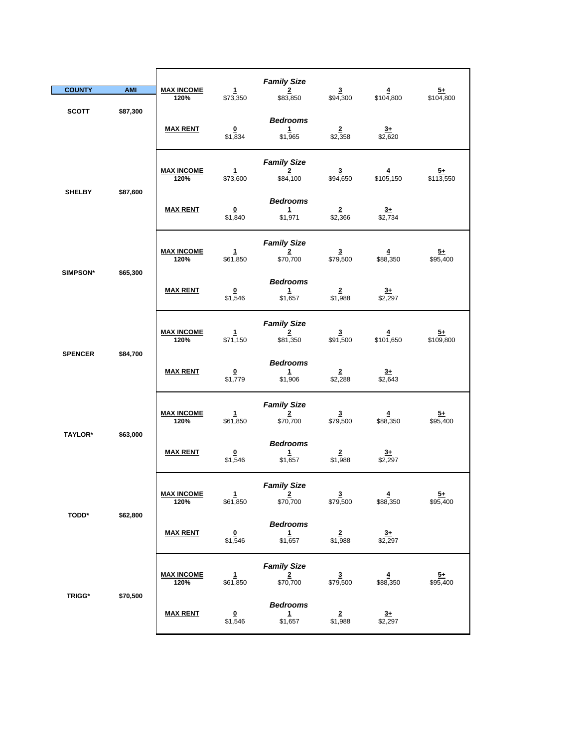| <b>COUNTY</b>  | <b>AMI</b> | <b>MAX INCOME</b><br>120% | $\mathbf{1}$<br>\$73,350           | <b>Family Size</b><br>$\overline{2}$<br>\$83,850          | $\overline{\mathbf{3}}$<br>\$94,300 | $\overline{4}$<br>\$104,800 | $\frac{5+}{2}$<br>\$104,800  |
|----------------|------------|---------------------------|------------------------------------|-----------------------------------------------------------|-------------------------------------|-----------------------------|------------------------------|
| <b>SCOTT</b>   | \$87,300   | <b>MAX RENT</b>           | $\Omega$<br>\$1,834                | <b>Bedrooms</b><br>$\mathbf{1}$<br>\$1,965                | $\overline{2}$<br>\$2,358           | $3+$<br>\$2,620             |                              |
| <b>SHELBY</b>  | \$87,600   | <b>MAX INCOME</b><br>120% | $\mathbf{1}$<br>\$73,600           | <b>Family Size</b><br>$\overline{2}$<br>\$84,100          | $\overline{\mathbf{3}}$<br>\$94,650 | 4<br>\$105,150              | $\overline{5+}$<br>\$113,550 |
|                |            | <b>MAX RENT</b>           | $\overline{\mathbf{0}}$<br>\$1,840 | <b>Bedrooms</b><br>$\mathbf{1}$<br>\$1,971                | $\frac{2}{2,366}$                   | $\frac{3+}{2,734}$          |                              |
| SIMPSON*       | \$65,300   | <b>MAX INCOME</b><br>120% | $\mathbf{1}$<br>\$61,850           | <b>Family Size</b><br>$\overline{\mathbf{2}}$<br>\$70,700 | $\overline{\mathbf{3}}$<br>\$79,500 | $\overline{4}$<br>\$88,350  | $5+$<br>\$95,400             |
|                |            | <b>MAX RENT</b>           | $\overline{\mathbf{0}}$<br>\$1,546 | <b>Bedrooms</b><br>$\mathbf{1}$<br>\$1,657                | $\overline{2}$<br>\$1,988           | $\overline{3+}$<br>\$2,297  |                              |
|                |            | <b>MAX INCOME</b><br>120% | $\mathbf{1}$<br>\$71,150           | <b>Family Size</b><br>$\overline{2}$<br>\$81,350          | $\frac{3}{1,500}$                   | $\frac{4}{101,650}$         | $\frac{5+}{109,800}$         |
| <b>SPENCER</b> | \$84,700   | <b>MAX RENT</b>           | $\overline{\mathbf{0}}$<br>\$1,779 | <b>Bedrooms</b><br>$\mathbf{1}$<br>\$1,906                | $\overline{2}$<br>\$2,288           | $rac{3+}{2}$<br>\$2,643     |                              |
| TAYLOR*        | \$63,000   | <b>MAX INCOME</b><br>120% | $\mathbf{1}$<br>\$61,850           | <b>Family Size</b><br>2<br>\$70,700                       | $\overline{\mathbf{3}}$<br>\$79,500 | $\overline{4}$<br>\$88,350  | $\frac{5+}{2}$<br>\$95,400   |
|                |            | <b>MAX RENT</b>           | $\overline{\mathbf{0}}$<br>\$1,546 | <b>Bedrooms</b><br>$\mathbf{1}$<br>\$1,657                | $\overline{2}$<br>\$1,988           | $\frac{3+}{2,297}$          |                              |
| <b>TODD*</b>   | \$62,800   | <b>MAX INCOME</b><br>120% | $\mathbf{1}$<br>\$61,850           | <b>Family Size</b><br>$\overline{2}$<br>\$70,700          | $\frac{3}{1}$ \$79,500              | $\frac{4}{1}$ \$88,350      | $\frac{5+}{95,400}$          |
|                |            | <b>MAX RENT</b>           | $\overline{\mathbf{0}}$<br>\$1,546 | <b>Bedrooms</b><br>$\mathbf{1}$<br>\$1,657                | $\overline{2}$<br>\$1,988           | $3+$<br>\$2,297             |                              |
|                |            | <b>MAX INCOME</b><br>120% | $\frac{1}{661,850}$                | <b>Family Size</b><br>$\frac{2}{\$70,700}$                | $\frac{3}{1}$ \$79,500              | $\frac{4}{1}$ \$88,350      | $\frac{5+}{95,400}$          |
| <b>TRIGG*</b>  | \$70,500   | <b>MAX RENT</b>           | $\overline{\mathbf{0}}$<br>\$1,546 | <b>Bedrooms</b><br>$\mathbf{1}$<br>\$1,657                | $\overline{2}$<br>\$1,988           | $3+$<br>\$2,297             |                              |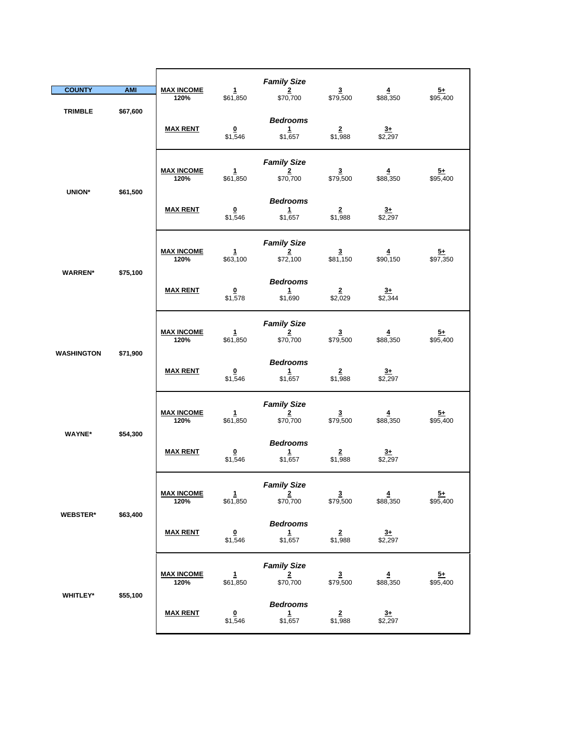| <b>COUNTY</b>     | <b>AMI</b> | <b>MAX INCOME</b><br>120% | 1<br>\$61,850                      | <b>Family Size</b><br>$\overline{2}$<br>\$70,700          | $\overline{\mathbf{3}}$<br>\$79,500 | $\overline{\mathbf{4}}$<br>\$88,350 | $\frac{5+}{2}$<br>\$95,400  |
|-------------------|------------|---------------------------|------------------------------------|-----------------------------------------------------------|-------------------------------------|-------------------------------------|-----------------------------|
| <b>TRIMBLE</b>    | \$67,600   | <b>MAX RENT</b>           | $\overline{\mathbf{0}}$<br>\$1,546 | <b>Bedrooms</b><br>$\mathbf{1}$<br>\$1,657                | $\overline{2}$<br>\$1,988           | $3+$<br>\$2,297                     |                             |
|                   |            | <b>MAX INCOME</b><br>120% | 1<br>\$61,850                      | <b>Family Size</b><br>2<br>\$70,700                       | 3<br>\$79,500                       | 4<br>\$88,350                       | $\overline{5+}$<br>\$95,400 |
| <b>UNION*</b>     | \$61,500   | <b>MAX RENT</b>           | $\pmb{0}$<br>\$1,546               | <b>Bedrooms</b><br>1<br>\$1,657                           | $\frac{2}{1,988}$                   | $\frac{3+}{2}$ \$2,297              |                             |
| <b>WARREN*</b>    | \$75,100   | <b>MAX INCOME</b><br>120% | $\mathbf{1}$<br>\$63,100           | <b>Family Size</b><br>$\overline{\mathbf{2}}$<br>\$72,100 | 3<br>\$81,150                       | $\overline{\mathbf{4}}$<br>\$90,150 | <u>5+</u><br>\$97,350       |
|                   |            | <b>MAX RENT</b>           | 0<br>\$1,578                       | <b>Bedrooms</b><br>$\mathbf 1$<br>\$1,690                 | $\overline{2}$<br>\$2,029           | $\frac{3+}{2,344}$                  |                             |
|                   |            | <b>MAX INCOME</b><br>120% | $\mathbf{1}$<br>\$61,850           | <b>Family Size</b><br>$\overline{\mathbf{2}}$<br>\$70,700 | $\frac{3}{1}$ \$79,500              | $\overline{4}$<br>\$88,350          | $\frac{5+}{95,400}$         |
| <b>WASHINGTON</b> | \$71,900   | <b>MAX RENT</b>           | $\overline{\mathbf{0}}$<br>\$1,546 | <b>Bedrooms</b><br>1<br>\$1,657                           | $\overline{\mathbf{2}}$<br>\$1,988  | $3+$<br>\$2,297                     |                             |
| <b>WAYNE*</b>     | \$54,300   | <b>MAX INCOME</b><br>120% | $\mathbf{1}$<br>\$61,850           | <b>Family Size</b><br>$\overline{2}$<br>\$70,700          | $\overline{\mathbf{3}}$<br>\$79,500 | $\overline{4}$<br>\$88,350          | $\frac{5+}{2}$<br>\$95,400  |
|                   |            | <b>MAX RENT</b>           | $\overline{\mathbf{0}}$<br>\$1,546 | <b>Bedrooms</b><br>$\mathbf{1}$<br>\$1,657                | $\overline{\mathbf{2}}$<br>\$1,988  | $\overline{3+}$<br>\$2,297          |                             |
| <b>WEBSTER*</b>   | \$63,400   | <u>MAX INCOME</u><br>120% | 1<br>\$61,850                      | <b>Family Size</b><br>$\overline{2}$<br>\$70,700          | $\overline{\mathbf{3}}$<br>\$79,500 | 4<br>\$88,350                       | $\overline{5+}$<br>\$95,400 |
|                   |            | <b>MAX RENT</b>           | $\overline{\mathbf{0}}$<br>\$1,546 | <b>Bedrooms</b><br>$\mathbf{1}$<br>\$1,657                | $\frac{2}{1,988}$                   | $\frac{3+}{2,297}$                  |                             |
|                   |            | <b>MAX INCOME</b><br>120% | $\mathbf{1}$<br>\$61,850           | <b>Family Size</b><br>$\overline{\mathbf{2}}$<br>\$70,700 | $\overline{\mathbf{3}}$<br>\$79,500 | $\overline{4}$<br>\$88,350          | $5+$<br>\$95,400            |
| WHITLEY*          | \$55,100   | <b>MAX RENT</b>           | $\overline{\mathbf{0}}$<br>\$1,546 | <b>Bedrooms</b><br>$\mathbf{1}$<br>\$1,657                | $\overline{2}$<br>\$1,988           | $rac{3+}{2}$<br>\$2,297             |                             |